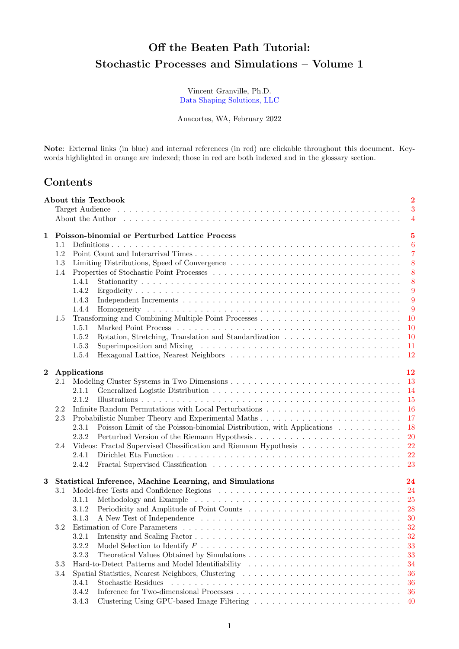# Off the Beaten Path Tutorial: Stochastic Processes and Simulations – Volume 1

Vincent Granville, Ph.D. Data Shaping Solutions, LLC

Anacortes, WA, February 2022

Note: External links (in blue) and internal references (in red) are clickable throughout this document. Keywords highlighted in orange are indexed; those in red are both indexed and in the glossary section.

## Contents

|          |     | About this Textbook<br>About the Author engineer is not approximately interesting to the set of the set of the set of the set of the set of the set of the set of the set of the set of the set of the set of the set of the set of the set of the se | $\overline{2}$<br>3<br>$\overline{4}$ |  |  |  |  |  |
|----------|-----|-------------------------------------------------------------------------------------------------------------------------------------------------------------------------------------------------------------------------------------------------------|---------------------------------------|--|--|--|--|--|
| 1        |     | Poisson-binomial or Perturbed Lattice Process                                                                                                                                                                                                         | $\overline{5}$                        |  |  |  |  |  |
|          | 1.1 |                                                                                                                                                                                                                                                       | $\boldsymbol{6}$                      |  |  |  |  |  |
|          | 1.2 |                                                                                                                                                                                                                                                       | $\overline{7}$                        |  |  |  |  |  |
|          | 1.3 |                                                                                                                                                                                                                                                       | 8                                     |  |  |  |  |  |
|          | 1.4 |                                                                                                                                                                                                                                                       | 8                                     |  |  |  |  |  |
|          |     | 1.4.1                                                                                                                                                                                                                                                 | 8                                     |  |  |  |  |  |
|          |     | 1.4.2                                                                                                                                                                                                                                                 | 9                                     |  |  |  |  |  |
|          |     | 1.4.3                                                                                                                                                                                                                                                 | 9                                     |  |  |  |  |  |
|          |     | 1.4.4                                                                                                                                                                                                                                                 | 9                                     |  |  |  |  |  |
|          | 1.5 |                                                                                                                                                                                                                                                       | 10                                    |  |  |  |  |  |
|          |     | 1.5.1                                                                                                                                                                                                                                                 | 10                                    |  |  |  |  |  |
|          |     | 1.5.2                                                                                                                                                                                                                                                 | 10                                    |  |  |  |  |  |
|          |     | 1.5.3                                                                                                                                                                                                                                                 | - 11                                  |  |  |  |  |  |
|          |     | 1.5.4                                                                                                                                                                                                                                                 | - 12                                  |  |  |  |  |  |
| $\bf{2}$ |     | Applications                                                                                                                                                                                                                                          | 12                                    |  |  |  |  |  |
|          | 2.1 |                                                                                                                                                                                                                                                       |                                       |  |  |  |  |  |
|          |     | 2.1.1                                                                                                                                                                                                                                                 |                                       |  |  |  |  |  |
|          |     | 2.1.2                                                                                                                                                                                                                                                 |                                       |  |  |  |  |  |
|          | 2.2 |                                                                                                                                                                                                                                                       |                                       |  |  |  |  |  |
|          | 2.3 | 17                                                                                                                                                                                                                                                    |                                       |  |  |  |  |  |
|          |     | Poisson Limit of the Poisson-binomial Distribution, with Applications<br>2.3.1                                                                                                                                                                        | -18                                   |  |  |  |  |  |
|          |     | 2.3.2                                                                                                                                                                                                                                                 |                                       |  |  |  |  |  |
|          | 2.4 | Videos: Fractal Supervised Classification and Riemann Hypothesis 22                                                                                                                                                                                   |                                       |  |  |  |  |  |
|          |     | 2.4.1                                                                                                                                                                                                                                                 |                                       |  |  |  |  |  |
|          |     | 2.4.2                                                                                                                                                                                                                                                 |                                       |  |  |  |  |  |
| 3        |     | Statistical Inference, Machine Learning, and Simulations                                                                                                                                                                                              | 24                                    |  |  |  |  |  |
|          | 3.1 |                                                                                                                                                                                                                                                       |                                       |  |  |  |  |  |
|          |     | 3.1.1                                                                                                                                                                                                                                                 |                                       |  |  |  |  |  |
|          |     | 3.1.2                                                                                                                                                                                                                                                 |                                       |  |  |  |  |  |
|          |     | 3.1.3                                                                                                                                                                                                                                                 |                                       |  |  |  |  |  |
|          | 3.2 |                                                                                                                                                                                                                                                       |                                       |  |  |  |  |  |
|          |     | 3.2.1                                                                                                                                                                                                                                                 |                                       |  |  |  |  |  |
|          |     | Model Selection to Identify $F \dots \dots \dots \dots \dots \dots \dots \dots \dots \dots \dots \dots \dots \dots$<br>3.2.2                                                                                                                          | 33                                    |  |  |  |  |  |
|          |     | 3.2.3                                                                                                                                                                                                                                                 | 33                                    |  |  |  |  |  |
|          | 3.3 | Hard-to-Detect Patterns and Model Identifiability                                                                                                                                                                                                     | 34                                    |  |  |  |  |  |
|          | 3.4 | Spatial Statistics, Nearest Neighbors, Clustering                                                                                                                                                                                                     | 36                                    |  |  |  |  |  |
|          |     | Stochastic Residues<br>3.4.1                                                                                                                                                                                                                          | 36                                    |  |  |  |  |  |
|          |     | 3.4.2                                                                                                                                                                                                                                                 | 36                                    |  |  |  |  |  |
|          |     | 3.4.3                                                                                                                                                                                                                                                 | 40                                    |  |  |  |  |  |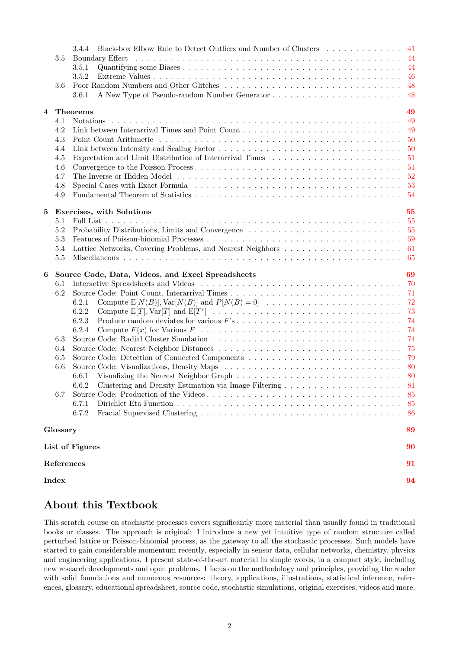|          |          | Black-box Elbow Rule to Detect Outliers and Number of Clusters 41<br>3.4.4                                         |       |
|----------|----------|--------------------------------------------------------------------------------------------------------------------|-------|
|          | 3.5      | Boundary Effect                                                                                                    |       |
|          |          | 3.5.1                                                                                                              | -44   |
|          |          | 3.5.2                                                                                                              | -46   |
|          | 3.6      |                                                                                                                    | 48    |
|          |          | $3.6.1\,$                                                                                                          | -48   |
| 4        |          | Theorems                                                                                                           | 49    |
|          | 4.1      |                                                                                                                    | 49    |
|          | 4.2      |                                                                                                                    | 49    |
|          | 4.3      |                                                                                                                    | -50   |
|          | 4.4      |                                                                                                                    | -50   |
|          | 4.5      | Expectation and Limit Distribution of Interarrival Times $\ldots \ldots \ldots \ldots \ldots \ldots \ldots \ldots$ | -51   |
|          | 4.6      |                                                                                                                    | -51   |
|          | 4.7      |                                                                                                                    | $-52$ |
|          | 4.8      |                                                                                                                    | - 53  |
|          | 4.9      |                                                                                                                    | - 54  |
|          |          |                                                                                                                    |       |
| $\bf{5}$ |          | Exercises, with Solutions                                                                                          | 55    |
|          | 5.1      |                                                                                                                    | 55    |
|          | 5.2      |                                                                                                                    |       |
|          | 5.3      |                                                                                                                    |       |
|          | 5.4      |                                                                                                                    |       |
|          | 5.5      |                                                                                                                    | 65    |
|          |          |                                                                                                                    |       |
| 6        |          |                                                                                                                    | 69    |
|          | 6.1      | Source Code, Data, Videos, and Excel Spreadsheets                                                                  | -70   |
|          | 6.2      |                                                                                                                    | 71    |
|          |          | 6.2.1                                                                                                              | 72    |
|          |          | 6.2.2                                                                                                              | 73    |
|          |          | 6.2.3                                                                                                              | 74    |
|          |          | 6.2.4                                                                                                              | 74    |
|          | 6.3      |                                                                                                                    | 74    |
|          | 6.4      |                                                                                                                    | 75    |
|          | 6.5      |                                                                                                                    | 79    |
|          | 6.6      |                                                                                                                    | - 80  |
|          |          | 6.6.1                                                                                                              |       |
|          |          | 6.6.2                                                                                                              |       |
|          | 6.7      | Clustering and Density Estimation via Image Filtering $\ldots \ldots \ldots \ldots \ldots \ldots \ldots$ 81        | 85    |
|          |          |                                                                                                                    | 85    |
|          |          | 6.7.1<br>6.7.2                                                                                                     | 86    |
|          |          |                                                                                                                    |       |
|          | Glossary |                                                                                                                    | 89    |
|          |          | List of Figures                                                                                                    | 90    |
|          |          | References                                                                                                         | 91    |

# About this Textbook

This scratch course on stochastic processes covers significantly more material than usually found in traditional books or classes. The approach is original: I introduce a new yet intuitive type of random structure called perturbed lattice or Poisson-binomial process, as the gateway to all the stochastic processes. Such models have started to gain considerable momentum recently, especially in sensor data, cellular networks, chemistry, physics and engineering applications. I present state-of-the-art material in simple words, in a compact style, including new research developments and open problems. I focus on the methodology and principles, providing the reader with solid foundations and numerous resources: theory, applications, illustrations, statistical inference, references, glossary, educational spreadsheet, source code, stochastic simulations, original exercises, videos and more.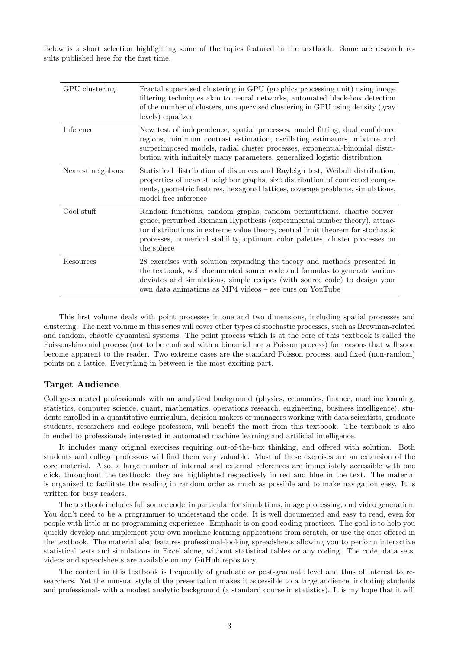Below is a short selection highlighting some of the topics featured in the textbook. Some are research results published here for the first time.

| GPU clustering    | Fractal supervised clustering in GPU (graphics processing unit) using image<br>filtering techniques akin to neural networks, automated black-box detection<br>of the number of clusters, unsupervised clustering in GPU using density (gray<br>levels) equalizer                                                                    |
|-------------------|-------------------------------------------------------------------------------------------------------------------------------------------------------------------------------------------------------------------------------------------------------------------------------------------------------------------------------------|
| Inference         | New test of independence, spatial processes, model fitting, dual confidence<br>regions, minimum contrast estimation, oscillating estimators, mixture and<br>surperimposed models, radial cluster processes, exponential-binomial distri-<br>bution with infinitely many parameters, generalized logistic distribution               |
| Nearest neighbors | Statistical distribution of distances and Rayleigh test, Weibull distribution,<br>properties of nearest neighbor graphs, size distribution of connected compo-<br>nents, geometric features, hexagonal lattices, coverage problems, simulations,<br>model-free inference                                                            |
| Cool stuff        | Random functions, random graphs, random permutations, chaotic conver-<br>gence, perturbed Riemann Hypothesis (experimental number theory), attrac-<br>tor distributions in extreme value theory, central limit theorem for stochastic<br>processes, numerical stability, optimum color palettes, cluster processes on<br>the sphere |
| Resources         | 28 exercises with solution expanding the theory and methods presented in<br>the textbook, well documented source code and formulas to generate various<br>deviates and simulations, simple recipes (with source code) to design your<br>own data animations as MP4 videos – see ours on YouTube                                     |

This first volume deals with point processes in one and two dimensions, including spatial processes and clustering. The next volume in this series will cover other types of stochastic processes, such as Brownian-related and random, chaotic dynamical systems. The point process which is at the core of this textbook is called the Poisson-binomial process (not to be confused with a binomial nor a Poisson process) for reasons that will soon become apparent to the reader. Two extreme cases are the standard Poisson process, and fixed (non-random) points on a lattice. Everything in between is the most exciting part.

## Target Audience

College-educated professionals with an analytical background (physics, economics, finance, machine learning, statistics, computer science, quant, mathematics, operations research, engineering, business intelligence), students enrolled in a quantitative curriculum, decision makers or managers working with data scientists, graduate students, researchers and college professors, will benefit the most from this textbook. The textbook is also intended to professionals interested in automated machine learning and artificial intelligence.

It includes many original exercises requiring out-of-the-box thinking, and offered with solution. Both students and college professors will find them very valuable. Most of these exercises are an extension of the core material. Also, a large number of internal and external references are immediately accessible with one click, throughout the textbook: they are highlighted respectively in red and blue in the text. The material is organized to facilitate the reading in random order as much as possible and to make navigation easy. It is written for busy readers.

The textbook includes full source code, in particular for simulations, image processing, and video generation. You don't need to be a programmer to understand the code. It is well documented and easy to read, even for people with little or no programming experience. Emphasis is on good coding practices. The goal is to help you quickly develop and implement your own machine learning applications from scratch, or use the ones offered in the textbook. The material also features professional-looking spreadsheets allowing you to perform interactive statistical tests and simulations in Excel alone, without statistical tables or any coding. The code, data sets, videos and spreadsheets are available on my GitHub repository.

The content in this textbook is frequently of graduate or post-graduate level and thus of interest to researchers. Yet the unusual style of the presentation makes it accessible to a large audience, including students and professionals with a modest analytic background (a standard course in statistics). It is my hope that it will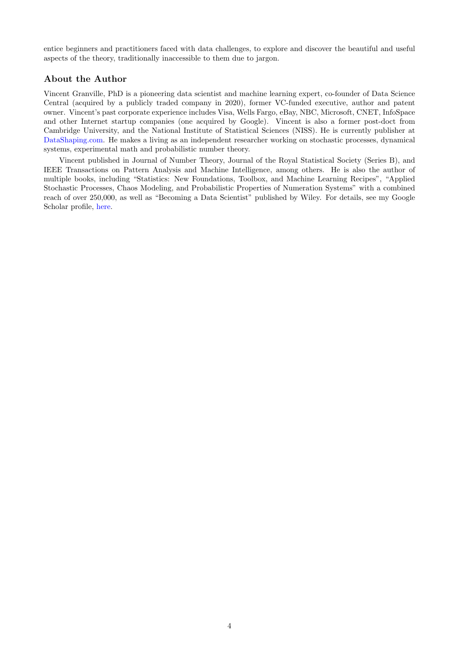entice beginners and practitioners faced with data challenges, to explore and discover the beautiful and useful aspects of the theory, traditionally inaccessible to them due to jargon.

## About the Author

Vincent Granville, PhD is a pioneering data scientist and machine learning expert, co-founder of Data Science Central (acquired by a publicly traded company in 2020), former VC-funded executive, author and patent owner. Vincent's past corporate experience includes Visa, Wells Fargo, eBay, NBC, Microsoft, CNET, InfoSpace and other Internet startup companies (one acquired by Google). Vincent is also a former post-doct from Cambridge University, and the National Institute of Statistical Sciences (NISS). He is currently publisher at DataShaping.com. He makes a living as an independent researcher working on stochastic processes, dynamical systems, experimental math and probabilistic number theory.

Vincent published in Journal of Number Theory, Journal of the Royal Statistical Society (Series B), and IEEE Transactions on Pattern Analysis and Machine Intelligence, among others. He is also the author of multiple books, including "Statistics: New Foundations, Toolbox, and Machine Learning Recipes", "Applied Stochastic Processes, Chaos Modeling, and Probabilistic Properties of Numeration Systems" with a combined reach of over 250,000, as well as "Becoming a Data Scientist" published by Wiley. For details, see my Google Scholar profile, here.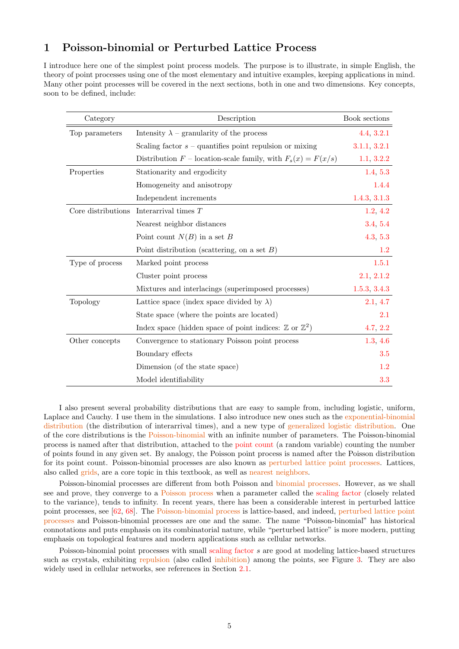## 1 Poisson-binomial or Perturbed Lattice Process

I introduce here one of the simplest point process models. The purpose is to illustrate, in simple English, the theory of point processes using one of the most elementary and intuitive examples, keeping applications in mind. Many other point processes will be covered in the next sections, both in one and two dimensions. Key concepts, soon to be defined, include:

| Category           | Description                                                                  | Book sections |
|--------------------|------------------------------------------------------------------------------|---------------|
| Top parameters     | Intensity $\lambda$ – granularity of the process                             | 4.4, 3.2.1    |
|                    | Scaling factor $s$ – quantifies point repulsion or mixing                    | 3.1.1, 3.2.1  |
|                    | Distribution $F$ – location-scale family, with $F_s(x) = F(x/s)$             | 1.1, 3.2.2    |
| Properties         | Stationarity and ergodicity                                                  | 1.4, 5.3      |
|                    | Homogeneity and anisotropy                                                   | 1.4.4         |
|                    | Independent increments                                                       | 1.4.3, 3.1.3  |
| Core distributions | Interarrival times T                                                         | 1.2, 4.2      |
|                    | Nearest neighbor distances                                                   | 3.4, 5.4      |
|                    | Point count $N(B)$ in a set B                                                | 4.3, 5.3      |
|                    | Point distribution (scattering, on a set $B$ )                               | 1.2           |
| Type of process    | Marked point process                                                         | 1.5.1         |
|                    | Cluster point process                                                        | 2.1, 2.1.2    |
|                    | Mixtures and interlacings (superimposed processes)                           | 1.5.3, 3.4.3  |
| Topology           | Lattice space (index space divided by $\lambda$ )                            | 2.1, 4.7      |
|                    | State space (where the points are located)                                   | 2.1           |
|                    | Index space (hidden space of point indices: $\mathbb{Z}$ or $\mathbb{Z}^2$ ) | 4.7, 2.2      |
| Other concepts     | Convergence to stationary Poisson point process                              | 1.3, 4.6      |
|                    | Boundary effects                                                             | 3.5           |
|                    | Dimension (of the state space)                                               | 1.2           |
|                    | Model identifiability                                                        | 3.3           |

I also present several probability distributions that are easy to sample from, including logistic, uniform, Laplace and Cauchy. I use them in the simulations. I also introduce new ones such as the exponential-binomial distribution (the distribution of interarrival times), and a new type of generalized logistic distribution. One of the core distributions is the Poisson-binomial with an infinite number of parameters. The Poisson-binomial process is named after that distribution, attached to the point count (a random variable) counting the number of points found in any given set. By analogy, the Poisson point process is named after the Poisson distribution for its point count. Poisson-binomial processes are also known as perturbed lattice point processes. Lattices, also called grids, are a core topic in this textbook, as well as nearest neighbors.

Poisson-binomial processes are different from both Poisson and binomial processes. However, as we shall see and prove, they converge to a Poisson process when a parameter called the scaling factor (closely related to the variance), tends to infinity. In recent years, there has been a considerable interest in perturbed lattice point processes, see [62, 68]. The Poisson-binomial process is lattice-based, and indeed, perturbed lattice point processes and Poisson-binomial processes are one and the same. The name "Poisson-binomial" has historical connotations and puts emphasis on its combinatorial nature, while "perturbed lattice" is more modern, putting emphasis on topological features and modern applications such as cellular networks.

Poisson-binomial point processes with small scaling factor s are good at modeling lattice-based structures such as crystals, exhibiting repulsion (also called inhibition) among the points, see Figure 3. They are also widely used in cellular networks, see references in Section 2.1.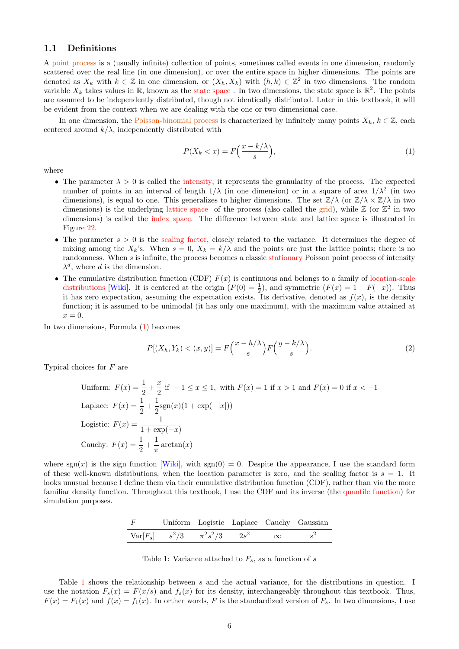## 1.1 Definitions

A point process is a (usually infinite) collection of points, sometimes called events in one dimension, randomly scattered over the real line (in one dimension), or over the entire space in higher dimensions. The points are denoted as  $X_k$  with  $k \in \mathbb{Z}$  in one dimension, or  $(X_h, X_k)$  with  $(h, k) \in \mathbb{Z}^2$  in two dimensions. The random variable  $X_k$  takes values in R, known as the state space. In two dimensions, the state space is  $\mathbb{R}^2$ . The points are assumed to be independently distributed, though not identically distributed. Later in this textbook, it will be evident from the context when we are dealing with the one or two dimensional case.

In one dimension, the Poisson-binomial process is characterized by infinitely many points  $X_k$ ,  $k \in \mathbb{Z}$ , each centered around  $k/\lambda$ , independently distributed with

$$
P(X_k < x) = F\left(\frac{x - k/\lambda}{s}\right),\tag{1}
$$

where

- The parameter  $\lambda > 0$  is called the intensity; it represents the granularity of the process. The expected number of points in an interval of length  $1/\lambda$  (in one dimension) or in a square of area  $1/\lambda^2$  (in two dimensions), is equal to one. This generalizes to higher dimensions. The set  $\mathbb{Z}/\lambda$  (or  $\mathbb{Z}/\lambda \times \mathbb{Z}/\lambda$  in two dimensions) is the underlying lattice space of the process (also called the grid), while  $\mathbb{Z}$  (or  $\mathbb{Z}^2$  in two dimensions) is called the index space. The difference between state and lattice space is illustrated in Figure 22.
- The parameter  $s > 0$  is the scaling factor, closely related to the variance. It determines the degree of mixing among the  $X_k$ 's. When  $s = 0$ ,  $X_k = k/\lambda$  and the points are just the lattice points; there is no randomness. When s is infinite, the process becomes a classic stationary Poisson point process of intensity  $\lambda^d$ , where d is the dimension.
- The cumulative distribution function (CDF)  $F(x)$  is continuous and belongs to a family of location-scale distributions [Wiki]. It is centered at the origin  $(F(0) = \frac{1}{2})$ , and symmetric  $(F(x) = 1 - F(-x))$ . Thus it has zero expectation, assuming the expectation exists. Its derivative, denoted as  $f(x)$ , is the density function; it is assumed to be unimodal (it has only one maximum), with the maximum value attained at  $x = 0.$

In two dimensions, Formula (1) becomes

$$
P[(X_h, Y_k) < (x, y)] = F\left(\frac{x - h/\lambda}{s}\right) F\left(\frac{y - k/\lambda}{s}\right). \tag{2}
$$

Typical choices for F are

Uniform: 
$$
F(x) = \frac{1}{2} + \frac{x}{2}
$$
 if  $-1 \le x \le 1$ , with  $F(x) = 1$  if  $x > 1$  and  $F(x) = 0$  if  $x < -1$   
\nLaplace:  $F(x) = \frac{1}{2} + \frac{1}{2} \text{sgn}(x) (1 + \exp(-|x|))$   
\nLogistic:  $F(x) = \frac{1}{1 + \exp(-x)}$   
\nCauchy:  $F(x) = \frac{1}{2} + \frac{1}{\pi} \arctan(x)$ 

where  $sgn(x)$  is the sign function [Wiki], with  $sgn(0) = 0$ . Despite the appearance, I use the standard form of these well-known distributions, when the location parameter is zero, and the scaling factor is  $s = 1$ . It looks unusual because I define them via their cumulative distribution function (CDF), rather than via the more familiar density function. Throughout this textbook, I use the CDF and its inverse (the quantile function) for simulation purposes.

| $\overline{F}$ |                                         |  |          | Uniform Logistic Laplace Cauchy Gaussian |
|----------------|-----------------------------------------|--|----------|------------------------------------------|
|                | $Var[F_s]$ $s^2/3$ $\pi^2 s^2/3$ $2s^2$ |  | $\infty$ | $^{12}$                                  |

Table 1: Variance attached to  $F_s$ , as a function of s

Table 1 shows the relationship between s and the actual variance, for the distributions in question. I use the notation  $F_s(x) = F(x/s)$  and  $f_s(x)$  for its density, interchangeably throughout this textbook. Thus,  $F(x) = F_1(x)$  and  $f(x) = f_1(x)$ . In orther words, F is the standardized version of  $F_s$ . In two dimensions, I use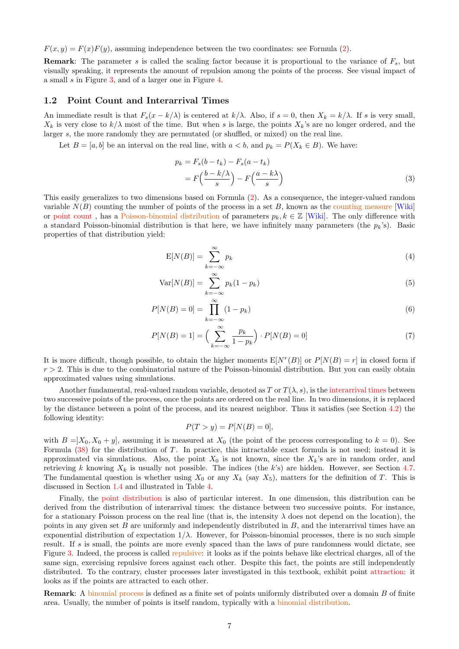$F(x, y) = F(x)F(y)$ , assuming independence between the two coordinates: see Formula (2).

**Remark:** The parameter s is called the scaling factor because it is proportional to the variance of  $F_s$ , but visually speaking, it represents the amount of repulsion among the points of the process. See visual impact of a small s in Figure 3, and of a larger one in Figure 4.

#### 1.2 Point Count and Interarrival Times

An immediate result is that  $F_s(x - k/\lambda)$  is centered at  $k/\lambda$ . Also, if  $s = 0$ , then  $X_k = k/\lambda$ . If s is very small,  $X_k$  is very close to  $k/\lambda$  most of the time. But when s is large, the points  $X_k$ 's are no longer ordered, and the larger s, the more randomly they are permutated (or shuffled, or mixed) on the real line.

Let  $B = [a, b]$  be an interval on the real line, with  $a < b$ , and  $p_k = P(X_k \in B)$ . We have:

$$
p_k = F_s(b - t_k) - F_s(a - t_k)
$$
  
=  $F\left(\frac{b - k/\lambda}{s}\right) - F\left(\frac{a - k\lambda}{s}\right)$  (3)

This easily generalizes to two dimensions based on Formula (2). As a consequence, the integer-valued random variable  $N(B)$  counting the number of points of the process in a set B, known as the counting measure [Wiki] or point count, has a Poisson-binomial distribution of parameters  $p_k, k \in \mathbb{Z}$  [Wiki]. The only difference with a standard Poisson-binomial distribution is that here, we have infinitely many parameters (the  $p_k$ 's). Basic properties of that distribution yield:

$$
E[N(B)] = \sum_{k=-\infty}^{\infty} p_k
$$
\n(4)

$$
Var[N(B)] = \sum_{k=-\infty}^{\infty} p_k (1 - p_k)
$$
\n(5)

$$
P[N(B) = 0] = \prod_{k=-\infty}^{\infty} (1 - p_k)
$$
\n(6)

$$
P[N(B) = 1] = \left(\sum_{k=-\infty}^{\infty} \frac{p_k}{1 - p_k}\right) \cdot P[N(B) = 0]
$$
\n(7)

It is more difficult, though possible, to obtain the higher moments  $E[N^r(B)]$  or  $P[N(B) = r]$  in closed form if  $r > 2$ . This is due to the combinatorial nature of the Poisson-binomial distribution. But you can easily obtain approximated values using simulations.

Another fundamental, real-valued random variable, denoted as T or  $T(\lambda, s)$ , is the interarrival times between two successive points of the process, once the points are ordered on the real line. In two dimensions, it is replaced by the distance between a point of the process, and its nearest neighbor. Thus it satisfies (see Section 4.2) the following identity:

$$
P(T > y) = P[N(B) = 0],
$$

with  $B = X_0, X_0 + y$ , assuming it is measured at  $X_0$  (the point of the process corresponding to  $k = 0$ ). See Formula (38) for the distribution of T. In practice, this intractable exact formula is not used; instead it is approximated via simulations. Also, the point  $X_0$  is not known, since the  $X_k$ 's are in random order, and retrieving k knowing  $X_k$  is usually not possible. The indices (the k's) are hidden. However, see Section 4.7. The fundamental question is whether using  $X_0$  or any  $X_k$  (say  $X_5$ ), matters for the definition of T. This is discussed in Section 1.4 and illustrated in Table 4.

Finally, the point distribution is also of particular interest. In one dimension, this distribution can be derived from the distribution of interarrival times: the distance between two successive points. For instance, for a stationary Poisson process on the real line (that is, the intensity  $\lambda$  does not depend on the location), the points in any given set  $B$  are uniformly and independently distributed in  $B$ , and the interarrival times have an exponential distribution of expectation  $1/\lambda$ . However, for Poisson-binomial processes, there is no such simple result. If s is small, the points are more evenly spaced than the laws of pure randomness would dictate, see Figure 3. Indeed, the process is called repulsive: it looks as if the points behave like electrical charges, all of the same sign, exercising repulsive forces against each other. Despite this fact, the points are still independently distributed. To the contrary, cluster processes later investigated in this textbook, exhibit point attraction: it looks as if the points are attracted to each other.

Remark: A binomial process is defined as a finite set of points uniformly distributed over a domain B of finite area. Usually, the number of points is itself random, typically with a binomial distribution.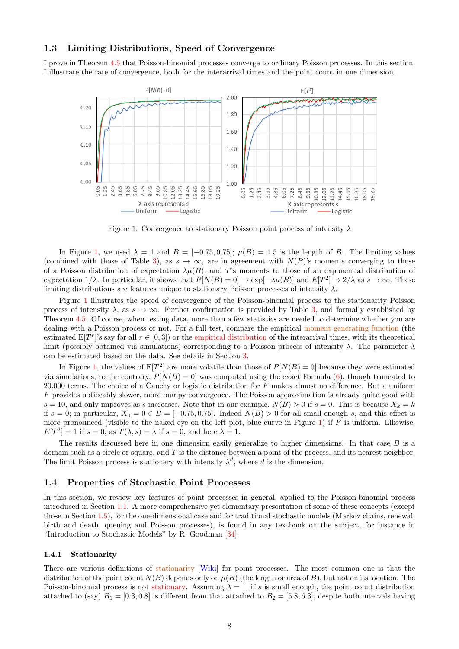## 1.3 Limiting Distributions, Speed of Convergence

I prove in Theorem 4.5 that Poisson-binomial processes converge to ordinary Poisson processes. In this section, I illustrate the rate of convergence, both for the interarrival times and the point count in one dimension.



Figure 1: Convergence to stationary Poisson point process of intensity  $\lambda$ 

In Figure 1, we used  $\lambda = 1$  and  $B = [-0.75, 0.75]$ ;  $\mu(B) = 1.5$  is the length of B. The limiting values (combined with those of Table 3), as  $s \to \infty$ , are in agreement with  $N(B)$ 's moments converging to those of a Poisson distribution of expectation  $\lambda\mu(B)$ , and T's moments to those of an exponential distribution of expectation  $1/\lambda$ . In particular, it shows that  $P[N(B) = 0] \to \exp[-\lambda \mu(B)]$  and  $E[T^2] \to 2/\lambda$  as  $s \to \infty$ . These limiting distributions are features unique to stationary Poisson processes of intensity  $\lambda$ .

Figure 1 illustrates the speed of convergence of the Poisson-binomial process to the stationarity Poisson process of intensity  $\lambda$ , as  $s \to \infty$ . Further confirmation is provided by Table 3, and formally established by Theorem 4.5. Of course, when testing data, more than a few statistics are needed to determine whether you are dealing with a Poisson process or not. For a full test, compare the empirical moment generating function (the estimated  $E[T^r]$ 's say for all  $r \in [0,3]$ ) or the empirical distribution of the interarrival times, with its theoretical limit (possibly obtained via simulations) corresponding to a Poisson process of intensity  $\lambda$ . The parameter  $\lambda$ can be estimated based on the data. See details in Section 3.

In Figure 1, the values of  $E[T^2]$  are more volatile than those of  $P[N(B) = 0]$  because they were estimated via simulations; to the contrary,  $P[N(B) = 0]$  was computed using the exact Formula (6), though truncated to 20,000 terms. The choice of a Cauchy or logistic distribution for F makes almost no difference. But a uniform F provides noticeably slower, more bumpy convergence. The Poisson approximation is already quite good with  $s = 10$ , and only improves as s increases. Note that in our example,  $N(B) > 0$  if  $s = 0$ . This is because  $X_k = k$ if  $s = 0$ ; in particular,  $X_0 = 0 \in B = [-0.75, 0.75]$ . Indeed  $N(B) > 0$  for all small enough s, and this effect is more pronounced (visible to the naked eye on the left plot, blue curve in Figure 1) if  $F$  is uniform. Likewise,  $E[T^2] = 1$  if  $s = 0$ , as  $T(\lambda, s) = \lambda$  if  $s = 0$ , and here  $\lambda = 1$ .

The results discussed here in one dimension easily generalize to higher dimensions. In that case  $B$  is a domain such as a circle or square, and  $T$  is the distance between a point of the process, and its nearest neighbor. The limit Poisson process is stationary with intensity  $\lambda^d$ , where d is the dimension.

#### 1.4 Properties of Stochastic Point Processes

In this section, we review key features of point processes in general, applied to the Poisson-binomial process introduced in Section 1.1. A more comprehensive yet elementary presentation of some of these concepts (except those in Section 1.5), for the one-dimensional case and for traditional stochastic models (Markov chains, renewal, birth and death, queuing and Poisson processes), is found in any textbook on the subject, for instance in "Introduction to Stochastic Models" by R. Goodman [34].

#### 1.4.1 Stationarity

There are various definitions of stationarity [Wiki] for point processes. The most common one is that the distribution of the point count  $N(B)$  depends only on  $\mu(B)$  (the length or area of B), but not on its location. The Poisson-binomial process is not stationary. Assuming  $\lambda = 1$ , if s is small enough, the point count distribution attached to (say)  $B_1 = [0.3, 0.8]$  is different from that attached to  $B_2 = [5.8, 6.3]$ , despite both intervals having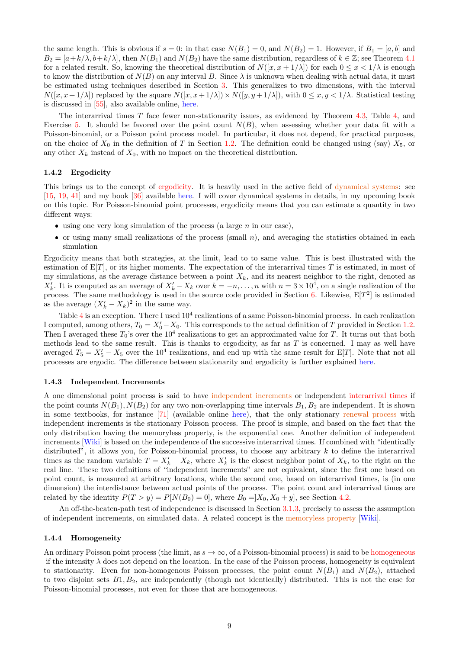the same length. This is obvious if  $s = 0$ : in that case  $N(B_1) = 0$ , and  $N(B_2) = 1$ . However, if  $B_1 = [a, b]$  and  $B_2 = [a+k/\lambda, b+k/\lambda]$ , then  $N(B_1)$  and  $N(B_2)$  have the same distribution, regardless of  $k \in \mathbb{Z}$ ; see Theorem 4.1 for a related result. So, knowing the theoretical distribution of  $N([x, x + 1/\lambda])$  for each  $0 \le x < 1/\lambda$  is enough to know the distribution of  $N(B)$  on any interval B. Since  $\lambda$  is unknown when dealing with actual data, it must be estimated using techniques described in Section 3. This generalizes to two dimensions, with the interval  $N([x, x+1/\lambda])$  replaced by the square  $N([x, x+1/\lambda]) \times N([y, y+1/\lambda])$ , with  $0 \le x, y < 1/\lambda$ . Statistical testing is discussed in [55], also available online, here.

The interarrival times  $T$  face fewer non-stationarity issues, as evidenced by Theorem 4.3, Table 4, and Exercise 5. It should be favored over the point count  $N(B)$ , when assessing whether your data fit with a Poisson-binomial, or a Poisson point process model. In particular, it does not depend, for practical purposes, on the choice of  $X_0$  in the definition of T in Section 1.2. The definition could be changed using (say)  $X_5$ , or any other  $X_k$  instead of  $X_0$ , with no impact on the theoretical distribution.

#### 1.4.2 Ergodicity

This brings us to the concept of ergodicity. It is heavily used in the active field of dynamical systems: see [15, 19, 41] and my book [36] available here. I will cover dynamical systems in details, in my upcoming book on this topic. For Poisson-binomial point processes, ergodicity means that you can estimate a quantity in two different ways:

- $\bullet$  using one very long simulation of the process (a large n in our case),
- $\bullet$  or using many small realizations of the process (small n), and averaging the statistics obtained in each simulation

Ergodicity means that both strategies, at the limit, lead to to same value. This is best illustrated with the estimation of  $E[T]$ , or its higher moments. The expectation of the interarrival times T is estimated, in most of my simulations, as the average distance between a point  $X_k$ , and its nearest neighbor to the right, denoted as  $X'_{k}$ . It is computed as an average of  $X'_{k} - X_{k}$  over  $k = -n, \ldots, n$  with  $n = 3 \times 10^{4}$ , on a single realization of the process. The same methodology is used in the source code provided in Section 6. Likewise,  $E[T^2]$  is estimated as the average  $(X'_k - X_k)^2$  in the same way.

Table  $4$  is an exception. There I used  $10^4$  realizations of a same Poisson-binomial process. In each realization I computed, among others,  $T_0 = X'_0 - X_0$ . This corresponds to the actual definition of T provided in Section 1.2. Then I averaged these  $T_0$ 's over the 10<sup>4</sup> realizations to get an approximated value for T. It turns out that both methods lead to the same result. This is thanks to ergodicity, as far as  $T$  is concerned. I may as well have averaged  $T_5 = X'_5 - X_5$  over the 10<sup>4</sup> realizations, and end up with the same result for E[T]. Note that not all processes are ergodic. The difference between stationarity and ergodicity is further explained here.

#### 1.4.3 Independent Increments

A one dimensional point process is said to have independent increments or independent interarrival times if the point counts  $N(B_1), N(B_2)$  for any two non-overlapping time intervals  $B_1, B_2$  are independent. It is shown in some textbooks, for instance [71] (available online here), that the only stationary renewal process with independent increments is the stationary Poisson process. The proof is simple, and based on the fact that the only distribution having the memoryless property, is the exponential one. Another definition of independent increments [Wiki] is based on the independence of the successive interarrival times. If combined with "identically distributed", it allows you, for Poisson-binomial process, to choose any arbitrary  $k$  to define the interarrival times as the random variable  $T = X'_k - X_k$ , where  $X'_k$  is the closest neighbor point of  $X_k$ , to the right on the real line. These two definitions of "independent increments" are not equivalent, since the first one based on point count, is measured at arbitrary locations, while the second one, based on interarrival times, is (in one dimension) the interdistance between actual points of the process. The point count and interarrival times are related by the identity  $P(T > y) = P[N(B_0) = 0]$ , where  $B_0 = X_0, X_0 + y$ , see Section 4.2.

An off-the-beaten-path test of independence is discussed in Section 3.1.3, precisely to assess the assumption of independent increments, on simulated data. A related concept is the memoryless property [Wiki].

#### 1.4.4 Homogeneity

An ordinary Poisson point process (the limit, as  $s \to \infty$ , of a Poisson-binomial process) is said to be homogeneous if the intensity  $\lambda$  does not depend on the location. In the case of the Poisson process, homogeneity is equivalent to stationarity. Even for non-homogenous Poisson processes, the point count  $N(B_1)$  and  $N(B_2)$ , attached to two disjoint sets  $B_1, B_2$ , are independently (though not identically) distributed. This is not the case for Poisson-binomial processes, not even for those that are homogeneous.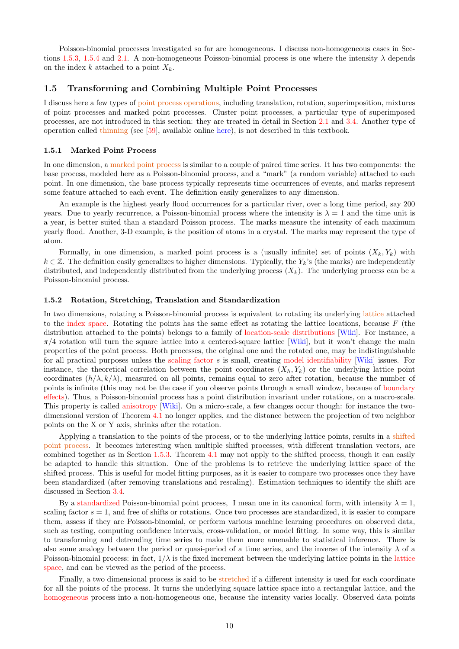Poisson-binomial processes investigated so far are homogeneous. I discuss non-homogeneous cases in Sections 1.5.3, 1.5.4 and 2.1. A non-homogeneous Poisson-binomial process is one where the intensity  $\lambda$  depends on the index k attached to a point  $X_k$ .

#### 1.5 Transforming and Combining Multiple Point Processes

I discuss here a few types of point process operations, including translation, rotation, superimposition, mixtures of point processes and marked point processes. Cluster point processes, a particular type of superimposed processes, are not introduced in this section: they are treated in detail in Section 2.1 and 3.4. Another type of operation called thinning (see [59], available online here), is not described in this textbook.

#### 1.5.1 Marked Point Process

In one dimension, a marked point process is similar to a couple of paired time series. It has two components: the base process, modeled here as a Poisson-binomial process, and a "mark" (a random variable) attached to each point. In one dimension, the base process typically represents time occurrences of events, and marks represent some feature attached to each event. The definition easily generalizes to any dimension.

An example is the highest yearly flood occurrences for a particular river, over a long time period, say 200 years. Due to yearly recurrence, a Poisson-binomial process where the intensity is  $\lambda = 1$  and the time unit is a year, is better suited than a standard Poisson process. The marks measure the intensity of each maximum yearly flood. Another, 3-D example, is the position of atoms in a crystal. The marks may represent the type of atom.

Formally, in one dimension, a marked point process is a (usually infinite) set of points  $(X_k, Y_k)$  with  $k \in \mathbb{Z}$ . The definition easily generalizes to higher dimensions. Typically, the  $Y_k$ 's (the marks) are independently distributed, and independently distributed from the underlying process  $(X_k)$ . The underlying process can be a Poisson-binomial process.

#### 1.5.2 Rotation, Stretching, Translation and Standardization

In two dimensions, rotating a Poisson-binomial process is equivalent to rotating its underlying lattice attached to the index space. Rotating the points has the same effect as rotating the lattice locations, because  $F$  (the distribution attached to the points) belongs to a family of location-scale distributions [Wiki]. For instance, a  $\pi/4$  rotation will turn the square lattice into a centered-square lattice [Wiki], but it won't change the main properties of the point process. Both processes, the original one and the rotated one, may be indistinguishable for all practical purposes unless the scaling factor s is small, creating model identifiability [Wiki] issues. For instance, the theoretical correlation between the point coordinates  $(X_h, Y_k)$  or the underlying lattice point coordinates  $(h/\lambda, k/\lambda)$ , measured on all points, remains equal to zero after rotation, because the number of points is infinite (this may not be the case if you observe points through a small window, because of boundary effects). Thus, a Poisson-binomial process has a point distribution invariant under rotations, on a macro-scale. This property is called anisotropy [Wiki]. On a micro-scale, a few changes occur though: for instance the twodimensional version of Theorem 4.1 no longer applies, and the distance between the projection of two neighbor points on the X or Y axis, shrinks after the rotation.

Applying a translation to the points of the process, or to the underlying lattice points, results in a shifted point process. It becomes interesting when multiple shifted processes, with different translation vectors, are combined together as in Section 1.5.3. Theorem 4.1 may not apply to the shifted process, though it can easily be adapted to handle this situation. One of the problems is to retrieve the underlying lattice space of the shifted process. This is useful for model fitting purposes, as it is easier to compare two processes once they have been standardized (after removing translations and rescaling). Estimation techniques to identify the shift are discussed in Section 3.4.

By a standardized Poisson-binomial point process, I mean one in its canonical form, with intensity  $\lambda = 1$ , scaling factor  $s = 1$ , and free of shifts or rotations. Once two processes are standardized, it is easier to compare them, assess if they are Poisson-binomial, or perform various machine learning procedures on observed data, such as testing, computing confidence intervals, cross-validation, or model fitting. In some way, this is similar to transforming and detrending time series to make them more amenable to statistical inference. There is also some analogy between the period or quasi-period of a time series, and the inverse of the intensity  $\lambda$  of a Poisson-binomial process: in fact,  $1/\lambda$  is the fixed increment between the underlying lattice points in the lattice space, and can be viewed as the period of the process.

Finally, a two dimensional process is said to be stretched if a different intensity is used for each coordinate for all the points of the process. It turns the underlying square lattice space into a rectangular lattice, and the homogeneous process into a non-homogeneous one, because the intensity varies locally. Observed data points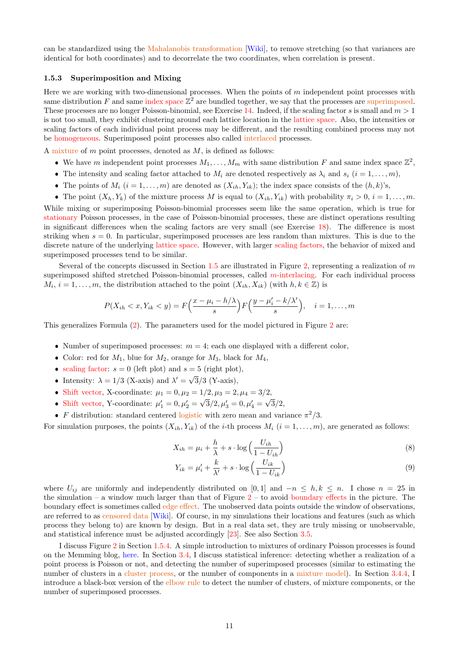can be standardized using the Mahalanobis transformation [Wiki], to remove stretching (so that variances are identical for both coordinates) and to decorrelate the two coordinates, when correlation is present.

## 1.5.3 Superimposition and Mixing

Here we are working with two-dimensional processes. When the points of  $m$  independent point processes with same distribution F and same index space  $\mathbb{Z}^2$  are bundled together, we say that the processes are superimposed. These processes are no longer Poisson-binomial, see Exercise 14. Indeed, if the scaling factor s is small and  $m > 1$ is not too small, they exhibit clustering around each lattice location in the lattice space. Also, the intensities or scaling factors of each individual point process may be different, and the resulting combined process may not be homogeneous. Superimposed point processes also called interlaced processes.

A mixture of  $m$  point processes, denoted as  $M$ , is defined as follows:

- We have m independent point processes  $M_1, \ldots, M_m$  with same distribution F and same index space  $\mathbb{Z}^2$ ,
- The intensity and scaling factor attached to  $M_i$  are denoted respectively as  $\lambda_i$  and  $s_i$   $(i = 1, \ldots, m)$ ,
- The points of  $M_i$   $(i = 1, \ldots, m)$  are denoted as  $(X_{ih}, Y_{ik})$ ; the index space consists of the  $(h, k)$ 's,
- The point  $(X_h, Y_k)$  of the mixture process M is equal to  $(X_{ih}, Y_{ik})$  with probability  $\pi_i > 0$ ,  $i = 1, \ldots, m$ .

While mixing or superimposing Poisson-binomial processes seem like the same operation, which is true for stationary Poisson processes, in the case of Poisson-binomial processes, these are distinct operations resulting in significant differences when the scaling factors are very small (see Exercise 18). The difference is most striking when  $s = 0$ . In particular, superimposed processes are less random than mixtures. This is due to the discrete nature of the underlying lattice space. However, with larger scaling factors, the behavior of mixed and superimposed processes tend to be similar.

Several of the concepts discussed in Section 1.5 are illustrated in Figure 2, representing a realization of m superimposed shifted stretched Poisson-binomial processes, called m-interlacing. For each individual process  $M_i, i = 1, \ldots, m$ , the distribution attached to the point  $(X_{ih}, X_{ik})$  (with  $h, k \in \mathbb{Z}$ ) is

$$
P(X_{ih} < x, Y_{ik} < y) = F\left(\frac{x - \mu_i - h/\lambda}{s}\right) F\left(\frac{y - \mu_i' - k/\lambda'}{s}\right), \quad i = 1, \dots, m
$$

This generalizes Formula (2). The parameters used for the model pictured in Figure 2 are:

- Number of superimposed processes:  $m = 4$ ; each one displayed with a different color,
- Color: red for  $M_1$ , blue for  $M_2$ , orange for  $M_3$ , black for  $M_4$ ,
- scaling factor:  $s = 0$  (left plot) and  $s = 5$  (right plot),
- Intensity:  $\lambda = 1/3$  (X-axis) and  $\lambda' = \sqrt{\frac{\lambda'}{1/3}}$ 3/3 (Y-axis),
- Shift vector, X-coordinate:  $\mu_1 = 0, \mu_2 = 1/2, \mu_3 = 2, \mu_4 = 3/2,$ √
- Shift vector, Y-coordinate:  $\mu_1'=0, \mu_2'=$  $\sqrt{3}/2, \mu'_3 = 0, \mu'_4 =$  $3/2,$
- F distribution: standard centered logistic with zero mean and variance  $\pi^2/3$ .

For simulation purposes, the points  $(X_{ih}, Y_{ik})$  of the *i*-th process  $M_i$   $(i = 1, ..., m)$ , are generated as follows:

$$
X_{ih} = \mu_i + \frac{h}{\lambda} + s \cdot \log\left(\frac{U_{ih}}{1 - U_{ih}}\right)
$$
\n<sup>(8)</sup>

$$
Y_{ik} = \mu'_i + \frac{k}{\lambda'} + s \cdot \log\left(\frac{U_{ik}}{1 - U_{ik}}\right) \tag{9}
$$

where  $U_{ij}$  are uniformly and independently distributed on [0, 1] and  $-n \leq h, k \leq n$ . I chose  $n = 25$  in the simulation – a window much larger than that of Figure  $2 -$  to avoid boundary effects in the picture. The boundary effect is sometimes called edge effect. The unobserved data points outside the window of observations, are referred to as censored data [Wiki]. Of course, in my simulations their locations and features (such as which process they belong to) are known by design. But in a real data set, they are truly missing or unobservable, and statistical inference must be adjusted accordingly [23]. See also Section 3.5.

I discuss Figure 2 in Section 1.5.4. A simple introduction to mixtures of ordinary Poisson processes is found on the Memming blog, here. In Section 3.4, I discuss statistical inference: detecting whether a realization of a point process is Poisson or not, and detecting the number of superimposed processes (similar to estimating the number of clusters in a cluster process, or the number of components in a mixture model). In Section 3.4.4, I introduce a black-box version of the elbow rule to detect the number of clusters, of mixture components, or the number of superimposed processes.